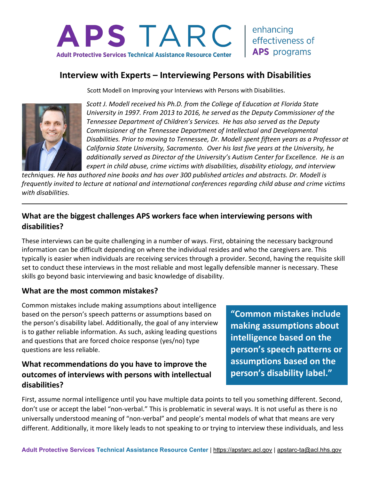

## **Interview with Experts – Interviewing Persons with Disabilities**

Scott Modell on Improving your Interviews with Persons with Disabilities.



*Scott J. Modell received his Ph.D. from the College of Education at Florida State University in 1997. From 2013 to 2016, he served as the Deputy Commissioner of the Tennessee Department of Children's Services. He has also served as the Deputy Commissioner of the Tennessee Department of Intellectual and Developmental Disabilities. Prior to moving to Tennessee, Dr. Modell spent fifteen years as a Professor at California State University, Sacramento. Over his last five years at the University, he additionally served as Director of the University's Autism Center for Excellence. He is an expert in child abuse, crime victims with disabilities, disability etiology, and interview* 

*techniques. He has authored nine books and has over 300 published articles and abstracts. Dr. Modell is frequently invited to lecture at national and international conferences regarding child abuse and crime victims with disabilities.*

#### **What are the biggest challenges APS workers face when interviewing persons with disabilities?**

These interviews can be quite challenging in a number of ways. First, obtaining the necessary background information can be difficult depending on where the individual resides and who the caregivers are. This typically is easier when individuals are receiving services through a provider. Second, having the requisite skill set to conduct these interviews in the most reliable and most legally defensible manner is necessary. These skills go beyond basic interviewing and basic knowledge of disability.

#### **What are the most common mistakes?**

Common mistakes include making assumptions about intelligence based on the person's speech patterns or assumptions based on the person's disability label. Additionally, the goal of any interview is to gather reliable information. As such, asking leading questions and questions that are forced choice response (yes/no) type questions are less reliable.

#### **What recommendations do you have to improve the outcomes of interviews with persons with intellectual disabilities?**

**"Common mistakes include making assumptions about intelligence based on the person's speech patterns or assumptions based on the person's disability label."** 

First, assume normal intelligence until you have multiple data points to tell you something different. Second, don't use or accept the label "non-verbal." This is problematic in several ways. It is not useful as there is no universally understood meaning of "non-verbal" and people's mental models of what that means are very different. Additionally, it more likely leads to not speaking to or trying to interview these individuals, and less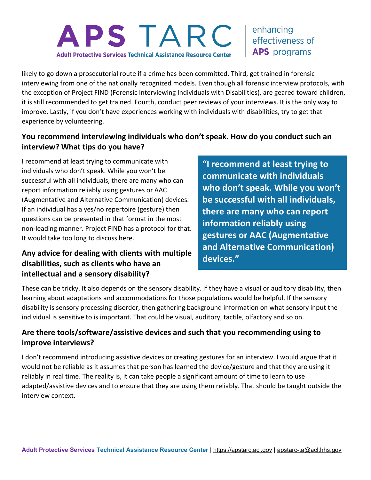# APS TARC **Adult Protective Services Technical Assistance Resource Center**

enhancing effectiveness of **APS** programs

likely to go down a prosecutorial route if a crime has been committed. Third, get trained in forensic interviewing from one of the nationally recognized models. Even though all forensic interview protocols, with the exception of Project FIND (Forensic Interviewing Individuals with Disabilities), are geared toward children, it is still recommended to get trained. Fourth, conduct peer reviews of your interviews. It is the only way to improve. Lastly, if you don't have experiences working with individuals with disabilities, try to get that experience by volunteering.

#### **You recommend interviewing individuals who don't speak. How do you conduct such an interview? What tips do you have?**

I recommend at least trying to communicate with individuals who don't speak. While you won't be successful with all individuals, there are many who can report information reliably using gestures or AAC (Augmentative and Alternative Communication) devices. If an individual has a yes/no repertoire (gesture) then questions can be presented in that format in the most non-leading manner. Project FIND has a protocol for that. It would take too long to discuss here.

## **Any advice for dealing with clients with multiple disabilities, such as clients who have an intellectual and a sensory disability?**

**"I recommend at least trying to communicate with individuals who don't speak. While you won't be successful with all individuals, there are many who can report information reliably using gestures or AAC (Augmentative and Alternative Communication) devices."** 

These can be tricky. It also depends on the sensory disability. If they have a visual or auditory disability, then learning about adaptations and accommodations for those populations would be helpful. If the sensory disability is sensory processing disorder, then gathering background information on what sensory input the individual is sensitive to is important. That could be visual, auditory, tactile, olfactory and so on.

## **Are there tools/software/assistive devices and such that you recommending using to improve interviews?**

I don't recommend introducing assistive devices or creating gestures for an interview. I would argue that it would not be reliable as it assumes that person has learned the device/gesture and that they are using it reliably in real time. The reality is, it can take people a significant amount of time to learn to use adapted/assistive devices and to ensure that they are using them reliably. That should be taught outside the interview context.